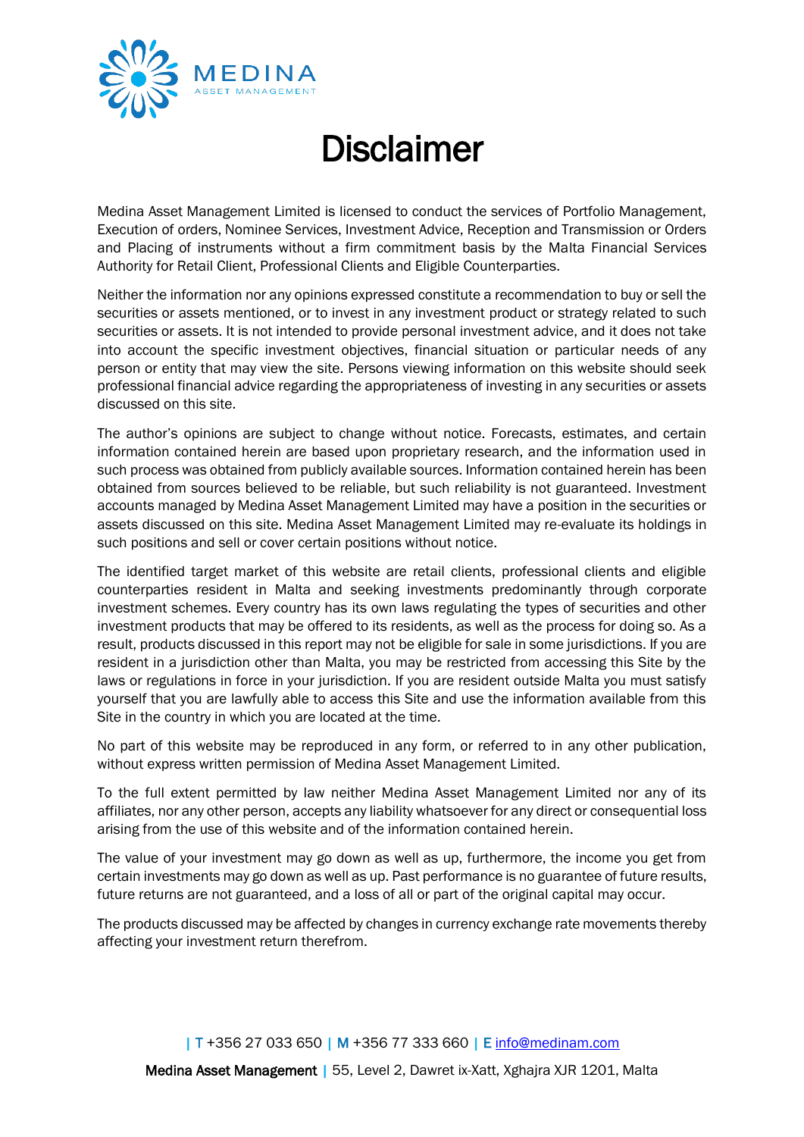

## **Disclaimer**

Medina Asset Management Limited is licensed to conduct the services of Portfolio Management, Execution of orders, Nominee Services, Investment Advice, Reception and Transmission or Orders and Placing of instruments without a firm commitment basis by the Malta Financial Services Authority for Retail Client, Professional Clients and Eligible Counterparties.

Neither the information nor any opinions expressed constitute a recommendation to buy or sell the securities or assets mentioned, or to invest in any investment product or strategy related to such securities or assets. It is not intended to provide personal investment advice, and it does not take into account the specific investment objectives, financial situation or particular needs of any person or entity that may view the site. Persons viewing information on this website should seek professional financial advice regarding the appropriateness of investing in any securities or assets discussed on this site.

The author's opinions are subject to change without notice. Forecasts, estimates, and certain information contained herein are based upon proprietary research, and the information used in such process was obtained from publicly available sources. Information contained herein has been obtained from sources believed to be reliable, but such reliability is not guaranteed. Investment accounts managed by Medina Asset Management Limited may have a position in the securities or assets discussed on this site. Medina Asset Management Limited may re-evaluate its holdings in such positions and sell or cover certain positions without notice.

The identified target market of this website are retail clients, professional clients and eligible counterparties resident in Malta and seeking investments predominantly through corporate investment schemes. Every country has its own laws regulating the types of securities and other investment products that may be offered to its residents, as well as the process for doing so. As a result, products discussed in this report may not be eligible for sale in some jurisdictions. If you are resident in a jurisdiction other than Malta, you may be restricted from accessing this Site by the laws or regulations in force in your jurisdiction. If you are resident outside Malta you must satisfy yourself that you are lawfully able to access this Site and use the information available from this Site in the country in which you are located at the time.

No part of this website may be reproduced in any form, or referred to in any other publication, without express written permission of Medina Asset Management Limited.

To the full extent permitted by law neither Medina Asset Management Limited nor any of its affiliates, nor any other person, accepts any liability whatsoever for any direct or consequential loss arising from the use of this website and of the information contained herein.

The value of your investment may go down as well as up, furthermore, the income you get from certain investments may go down as well as up. Past performance is no guarantee of future results, future returns are not guaranteed, and a loss of all or part of the original capital may occur.

The products discussed may be affected by changes in currency exchange rate movements thereby affecting your investment return therefrom.

| T +356 27 033 650 | M +356 77 333 660 | E [info@medinam.com](mailto:info@medinam.com) 

Medina Asset Management | 55, Level 2, Dawret ix-Xatt, Xghajra XJR 1201, Malta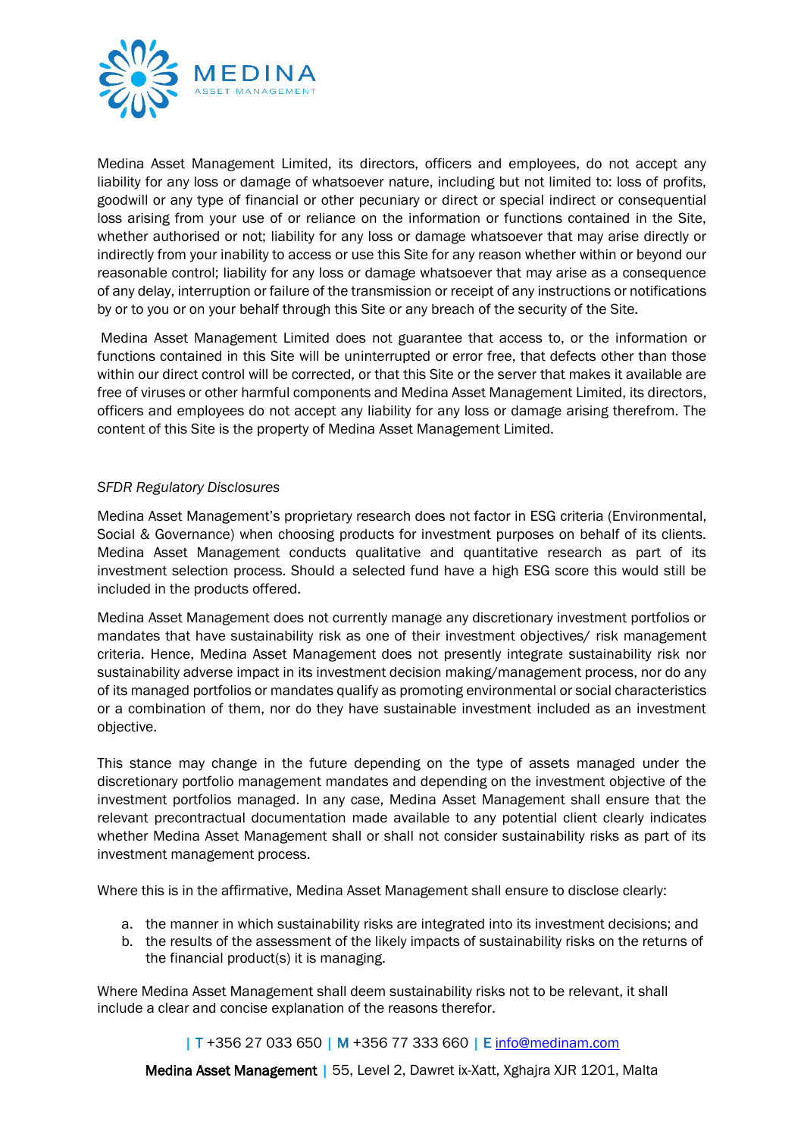

Medina Asset Management Limited, its directors, officers and employees, do not accept any liability for any loss or damage of whatsoever nature, including but not limited to: loss of profits, goodwill or any type of financial or other pecuniary or direct or special indirect or consequential loss arising from your use of or reliance on the information or functions contained in the Site, whether authorised or not; liability for any loss or damage whatsoever that may arise directly or indirectly from your inability to access or use this Site for any reason whether within or beyond our reasonable control; liability for any loss or damage whatsoever that may arise as a consequence of any delay, interruption or failure of the transmission or receipt of any instructions or notifications by or to you or on your behalf through this Site or any breach of the security of the Site.

Medina Asset Management Limited does not guarantee that access to, or the information or functions contained in this Site will be uninterrupted or error free, that defects other than those within our direct control will be corrected, or that this Site or the server that makes it available are free of viruses or other harmful components and Medina Asset Management Limited, its directors, officers and employees do not accept any liability for any loss or damage arising therefrom. The content of this Site is the property of Medina Asset Management Limited.

## *SFDR Regulatory Disclosures*

Medina Asset Management's proprietary research does not factor in ESG criteria (Environmental, Social & Governance) when choosing products for investment purposes on behalf of its clients. Medina Asset Management conducts qualitative and quantitative research as part of its investment selection process. Should a selected fund have a high ESG score this would still be included in the products offered.

Medina Asset Management does not currently manage any discretionary investment portfolios or mandates that have sustainability risk as one of their investment objectives/ risk management criteria. Hence, Medina Asset Management does not presently integrate sustainability risk nor sustainability adverse impact in its investment decision making/management process, nor do any of its managed portfolios or mandates qualify as promoting environmental or social characteristics or a combination of them, nor do they have sustainable investment included as an investment objective.

This stance may change in the future depending on the type of assets managed under the discretionary portfolio management mandates and depending on the investment objective of the investment portfolios managed. In any case, Medina Asset Management shall ensure that the relevant precontractual documentation made available to any potential client clearly indicates whether Medina Asset Management shall or shall not consider sustainability risks as part of its investment management process.

Where this is in the affirmative, Medina Asset Management shall ensure to disclose clearly:

- a. the manner in which sustainability risks are integrated into its investment decisions; and
- b. the results of the assessment of the likely impacts of sustainability risks on the returns of the financial product(s) it is managing.

Where Medina Asset Management shall deem sustainability risks not to be relevant, it shall include a clear and concise explanation of the reasons therefor.

## | T +356 27 033 650 | M +356 77 333 660 | E [info@medinam.com](mailto:info@medinam.com)

Medina Asset Management | 55, Level 2, Dawret ix-Xatt, Xghajra XJR 1201, Malta